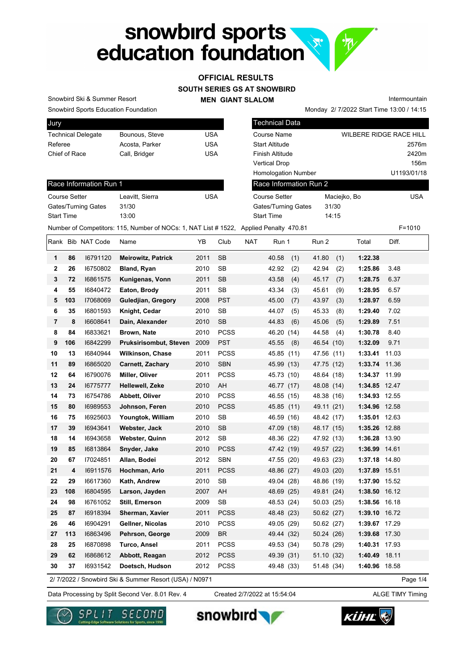

### **SOUTH SERIES GS AT SNOWBIRD OFFICIAL RESULTS**

**MEN GIANT SLALOM**

Snowbird Sports Education Foundation Snowbird Ski & Summer Resort

Race Information Run 1

Gates/Turning Gates 31/30 Start Time 13:00

| vuı y                     |                |            |
|---------------------------|----------------|------------|
| <b>Technical Delegate</b> | Bounous, Steve | USA        |
| Referee                   | Acosta, Parker | <b>USA</b> |
| Chief of Race             | Call, Bridger  | USA        |
|                           |                |            |

Course Setter Leavitt, Sierra Course Setter

| Technical Data             |                                |             |
|----------------------------|--------------------------------|-------------|
| <b>Course Name</b>         | <b>WILBERE RIDGE RACE HILL</b> |             |
| <b>Start Altitude</b>      |                                | 2576m       |
| <b>Finish Altitude</b>     |                                | 2420m       |
| <b>Vertical Drop</b>       |                                | 156m        |
| <b>Homologation Number</b> |                                | U1193/01/18 |
| Race Information Run 2     |                                |             |
| Course Setter              | Maciejko, Bo                   | <b>USA</b>  |
| Gates/Turning Gates        | 31/30                          |             |
| <b>Start Time</b>          | 14:15                          |             |

Monday 2/ 7/2022 Start Time 13:00 / 14:15

Intermountain

Number of Competitors: 115, Number of NOCs: 1, NAT List # 1522, Applied Penalty 470.81 F=1010

Rank Bib NAT Code Name **YB** Club NAT Run 1 Run 2 Total Diff. **1 86** I6791120 **Meirowitz, Patrick** 2011 SB 40.58 (1) 41.80 (1) **1:22.38 2 26** I6750802 **Bland, Ryan** 2010 SB 42.92 (2) 42.94 (2) **1:25.86** 3.48 **3 72** I6861575 **Kunigenas, Vonn** 2011 SB 43.58 (4) 45.17 (7) **1:28.75** 6.37 **4 55** I6840472 **Eaton, Brody** 2011 SB 43.34 (3) 45.61 (9) **1:28.95** 6.57 **5 103** I7068069 **Guledjian, Gregory** 2008 PST 45.00 (7) 43.97 (3) **1:28.97** 6.59 **6 35** I6801593 **Knight, Cedar** 2010 SB 44.07 (5) 45.33 (8) **1:29.40** 7.02 **7 8** I6608641 **Dain, Alexander** 2010 SB 44.83 (6) 45.06 (5) **1:29.89** 7.51 **8 84** I6833621 **Brown, Nate** 2010 PCSS 46.20 (14) 44.58 (4) **1:30.78** 8.40 **9 106** I6842299 **Pruksirisombut, Steven** 2009 PST 45.55 (8) 46.54 (10) **1:32.09** 9.71 **10 13** I6840944 **Wilkinson, Chase** 2011 PCSS 45.85 (11) 47.56 (11) **1:33.41** 11.03 **11 89** I6865020 **Carnett, Zachary** 2010 SBN 45.99 (13) 47.75 (12) **1:33.74** 11.36 **12 64** I6790076 **Miller, Oliver** 2011 PCSS 45.73 (10) 48.64 (18) **1:34.37** 11.99 **13 24** I6775777 **Hellewell, Zeke** 2010 AH 46.77 (17) 48.08 (14) **1:34.85** 12.47 **14 73** I6754786 **Abbett, Oliver** 2010 PCSS 46.55 (15) 48.38 (16) **1:34.93** 12.55 **15 80** I6989553 **Johnson, Feren** 2010 PCSS 45.85 (11) 49.11 (21) **1:34.96** 12.58 **16 75** I6925603 **Youngtok, William** 2010 SB 46.59 (16) 48.42 (17) **1:35.01** 12.63 **17 39** I6943641 **Webster, Jack** 2010 SB 47.09 (18) 48.17 (15) **1:35.26** 12.88 **18 14** I6943658 **Webster, Quinn** 2012 SB 48.36 (22) 47.92 (13) **1:36.28** 13.90 **19 85** I6813864 **Snyder, Jake** 2010 PCSS 47.42 (19) 49.57 (22) **1:36.99** 14.61 **20 67** I7024851 **Allan, Bodei** 2012 SBN 47.55 (20) 49.63 (23) **1:37.18** 14.80 **21 4** I6911576 **Hochman, Arlo** 2011 PCSS 48.86 (27) 49.03 (20) **1:37.89** 15.51 **22 29** I6617360 **Kath, Andrew** 2010 SB 49.04 (28) 48.86 (19) **1:37.90** 15.52 **23 108** I6804595 **Larson, Jayden** 2007 AH 48.69 (25) 49.81 (24) **1:38.50** 16.12 **24 98** I6761052 **Still, Emerson** 2009 SB 48.53 (24) 50.03 (25) **1:38.56** 16.18 **25 87** I6918394 **Sherman, Xavier** 2011 PCSS 48.48 (23) 50.62 (27) **1:39.10** 16.72 **26 46** I6904291 **Gellner, Nicolas** 2010 PCSS 49.05 (29) 50.62 (27) **1:39.67** 17.29 **27 113** I6863496 **Pehrson, George** 2009 BR 49.44 (32) 50.24 (26) **1:39.68** 17.30 **28 25** I6870898 **Turco, Ansel** 2011 PCSS 49.53 (34) 50.78 (29) **1:40.31** 17.93 **29 62** I6868612 **Abbott, Reagan** 2012 PCSS 49.39 (31) 51.10 (32) **1:40.49** 18.11 **30 37** I6931542 **Doetsch, Hudson** 2012 PCSS 49.48 (33) 51.48 (34) **1:40.96** 18.58

2/ 7/2022 / Snowbird Ski & Summer Resort (USA) / N0971

Data Processing by Split Second Ver. 8.01 Rev. 4 Created 2/7/2022 at 15:54:04 ALGE TIMY Timing

Created 2/7/2022 at 15:54:04

Page 1/4







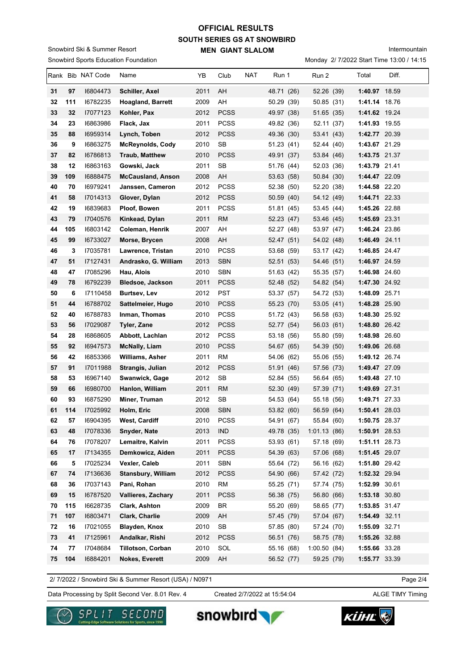# **SOUTH SERIES GS AT SNOWBIRD MEN GIANT SLALOM OFFICIAL RESULTS**

Snowbird Sports Education Foundation Snowbird Ski & Summer Resort

Intermountain

Monday 2/ 7/2022 Start Time 13:00 / 14:15

|          |          | Rank Bib NAT Code    | Name                                           | YB           | Club                       | <b>NAT</b> | Run 1                    | Run 2                    | Total                          | Diff. |
|----------|----------|----------------------|------------------------------------------------|--------------|----------------------------|------------|--------------------------|--------------------------|--------------------------------|-------|
| 31       | 97       | 16804473             | Schiller, Axel                                 | 2011         | AH                         |            | 48.71 (26)               | 52.26 (39)               | 1:40.97 18.59                  |       |
| 32       | 111      | 16782235             | <b>Hoagland, Barrett</b>                       | 2009         | AH                         |            | 50.29 (39)               | 50.85 (31)               | 1:41.14 18.76                  |       |
| 33       | 32       | 17077123             | Kohler, Pax                                    | 2012         | <b>PCSS</b>                |            | 49.97 (38)               | 51.65 (35)               | 1:41.62 19.24                  |       |
| 34       | 23       | 16863986             | Flack, Jax                                     | 2011         | <b>PCSS</b>                |            | 49.82 (36)               | 52.11 (37)               | 1:41.93 19.55                  |       |
| 35       | 88       | 16959314             | Lynch, Toben                                   | 2012         | <b>PCSS</b>                |            | 49.36 (30)               | 53.41 (43)               | 1:42.77 20.39                  |       |
| 36       | 9        | 16863275             | <b>McReynolds, Cody</b>                        | 2010         | SB                         |            | 51.23(41)                | 52.44 (40)               | 1:43.67 21.29                  |       |
| 37       | 82       | 16786813             | <b>Traub, Matthew</b>                          | 2010         | <b>PCSS</b>                |            | 49.91 (37)               | 53.84 (46)               | 1:43.75 21.37                  |       |
| 38       | 12       | 16863163             | Gowski, Jack                                   | 2011         | SB                         |            | 51.76 (44)               | 52.03 (36)               | 1:43.79 21.41                  |       |
| 39       | 109      | 16888475             | <b>McCausland, Anson</b>                       | 2008         | AH                         |            | 53.63 (58)               | 50.84 (30)               | 1:44.47 22.09                  |       |
| 40       | 70       | 16979241             | Janssen, Cameron                               | 2012         | <b>PCSS</b>                |            | 52.38 (50)               | 52.20 (38)               | 1:44.58 22.20                  |       |
| 41       | 58       | 17014313             | Glover, Dylan                                  | 2012         | <b>PCSS</b>                |            | 50.59 (40)               | 54.12 (49)               | 1:44.71 22.33                  |       |
| 42       | 19       | 16839683             | Ploof, Bowen                                   | 2011         | <b>PCSS</b>                |            | 51.81 (45)               | 53.45 (44)               | 1:45.26 22.88                  |       |
| 43       | 79       | 17040576             | Kinkead, Dylan                                 | 2011         | <b>RM</b>                  |            | 52.23(47)                | 53.46 (45)               | 1:45.69 23.31                  |       |
| 44       | 105      | 16803142             | Coleman, Henrik                                | 2007         | AH                         |            | 52.27 (48)               | 53.97 (47)               | 1:46.24 23.86                  |       |
| 45       | 99       | 16733027             | Morse, Brycen                                  | 2008         | AH                         |            | 52.47 (51)               | 54.02 (48)               | 1:46.49 24.11                  |       |
| 46       | 3        | 17035781             | Lawrence, Tristan                              | 2010         | <b>PCSS</b>                |            | 53.68 (59)               | 53.17 (42)               | 1:46.85 24.47                  |       |
| 47       | 51       | 17127431             | Andrasko, G. William                           | 2013         | <b>SBN</b>                 |            | 52.51 (53)               | 54.46 (51)               | 1:46.97 24.59                  |       |
| 48       | 47       | 17085296             | Hau, Alois                                     | 2010         | <b>SBN</b>                 |            | 51.63 (42)               | 55.35 (57)               | 1:46.98 24.60                  |       |
| 49       | 78       | 16792239             | <b>Bledsoe, Jackson</b>                        | 2011         | <b>PCSS</b>                |            | 52.48 (52)               | 54.82 (54)               | 1:47.30 24.92                  |       |
| 50       | 6        | I7110458             | <b>Burtsev, Lev</b>                            | 2012         | <b>PST</b>                 |            | 53.37 (57)               | 54.72 (53)               | 1:48.09 25.71                  |       |
| 51       | 44       | 16788702             | Sattelmeier, Hugo                              | 2010         | <b>PCSS</b>                |            | 55.23 (70)               | 53.05 (41)               | 1:48.28 25.90                  |       |
| 52       | 40       | 16788783             | Inman, Thomas                                  | 2010         | <b>PCSS</b>                |            | 51.72 (43)               | 56.58 (63)               | 1:48.30 25.92                  |       |
| 53       | 56       | 17029087             | <b>Tyler, Zane</b>                             | 2012         | <b>PCSS</b>                |            | 52.77 (54)               | 56.03 (61)               | 1:48.80 26.42                  |       |
| 54<br>55 | 28<br>92 | 16868605<br>16947573 | Abbott, Lachlan                                | 2012<br>2010 | <b>PCSS</b><br><b>PCSS</b> |            | 53.18 (56)               | 55.80 (59)               | 1:48.98 26.60<br>1:49.06 26.68 |       |
| 56       | 42       | 16853366             | <b>McNally, Liam</b><br><b>Williams, Asher</b> | 2011         | RM                         |            | 54.67 (65)<br>54.06 (62) | 54.39 (50)<br>55.06 (55) | 1:49.12 26.74                  |       |
| 57       | 91       | 17011988             | Strangis, Julian                               | 2012         | <b>PCSS</b>                |            | 51.91 (46)               | 57.56 (73)               | 1:49.47 27.09                  |       |
| 58       | 53       | 16967140             | Swanwick, Gage                                 | 2012         | SB                         |            | 52.84 (55)               | 56.64 (65)               | 1:49.48 27.10                  |       |
| 59       | 66       | 16980700             | Hanlon, William                                | 2011         | <b>RM</b>                  |            | 52.30 (49)               | 57.39 (71)               | 1:49.69 27.31                  |       |
| 60       | 93       | 16875290             | Miner, Truman                                  | 2012         | SB                         |            | 54.53 (64)               | 55.18 (56)               | 1:49.71 27.33                  |       |
| 61       | 114      | 17025992             | Holm, Eric                                     | 2008         | <b>SBN</b>                 |            | 53.82 (60)               | 56.59 (64)               | 1:50.41 28.03                  |       |
| 62       | 57       | 16904395             | West, Cardiff                                  | 2010         | PCSS                       |            | 54.91 (67)               | 55.84 (60)               | 1:50.75 28.37                  |       |
| 63       | 48       | 17078336             | Snyder, Nate                                   | 2013         | <b>IND</b>                 |            | 49.78 (35)               | 1:01.13(86)              | 1:50.91 28.53                  |       |
| 64       | 76       | 17078207             | Lemaitre, Kalvin                               | 2011         | PCSS                       |            | 53.93 (61)               | 57.18 (69)               | 1:51.11 28.73                  |       |
| 65       | 17       | 17134355             | Demkowicz, Aiden                               | 2011         | <b>PCSS</b>                |            | 54.39 (63)               | 57.06 (68)               | 1:51.45 29.07                  |       |
| 66       | 5        | 17025234             | Vexler, Caleb                                  | 2011         | <b>SBN</b>                 |            | 55.64 (72)               | 56.16 (62)               | 1:51.80 29.42                  |       |
| 67       | 74       | 17136636             | Stansbury, William                             | 2012         | <b>PCSS</b>                |            | 54.90 (66)               | 57.42 (72)               | 1:52.32 29.94                  |       |
| 68       | 36       | 17037143             | Pani, Rohan                                    | 2010         | <b>RM</b>                  |            | 55.25 (71)               | 57.74 (75)               | 1:52.99 30.61                  |       |
| 69       | 15       | 16787520             | <b>Vallieres, Zachary</b>                      | 2011         | <b>PCSS</b>                |            | 56.38 (75)               | 56.80 (66)               | 1:53.18 30.80                  |       |
| 70       | 115      | 16628735             | Clark, Ashton                                  | 2009         | <b>BR</b>                  |            | 55.20 (69)               | 58.65 (77)               | 1:53.85 31.47                  |       |
| 71       | 107      | 16803471             | Clark, Charlie                                 | 2009         | AH                         |            | 57.45 (79)               | 57.04 (67)               | 1:54.49 32.11                  |       |
| 72       | 16       | 17021055             | Blayden, Knox                                  | 2010         | SB                         |            | 57.85 (80)               | 57.24 (70)               | 1:55.09 32.71                  |       |
| 73       | 41       | 17125961             | Andalkar, Rishi                                | 2012         | <b>PCSS</b>                |            | 56.51 (76)               | 58.75 (78)               | 1:55.26 32.88                  |       |
| 74       | 77       | 17048684             | <b>Tillotson, Corban</b>                       | 2010         | SOL                        |            | 55.16 (68)               | 1:00.50(84)              | 1:55.66 33.28                  |       |
| 75       | 104      | 16884201             | Nokes, Everett                                 | 2009         | AH                         |            | 56.52 (77)               | 59.25 (79)               | 1:55.77 33.39                  |       |

2/ 7/2022 / Snowbird Ski & Summer Resort (USA) / N0971

Page 2/4

Data Processing by Split Second Ver. 8.01 Rev. 4 Created 2/7/2022 at 15:54:04 ALGE TIMY Timing

Created 2/7/2022 at 15:54:04





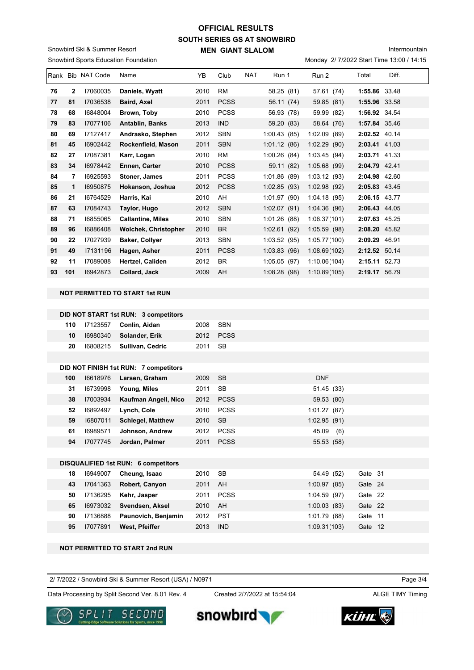# **SOUTH SERIES GS AT SNOWBIRD MEN GIANT SLALOM OFFICIAL RESULTS**

Snowbird Sports Education Foundation Snowbird Ski & Summer Resort

Monday 2/ 7/2022 Start Time 13:00 / 14:15

|    |              | Rank Bib NAT Code | Name                        | YB   | Club        | <b>NAT</b> | Run 1       | Run 2           | Total         | Diff. |
|----|--------------|-------------------|-----------------------------|------|-------------|------------|-------------|-----------------|---------------|-------|
| 76 | $\mathbf{2}$ | 17060035          | Daniels, Wyatt              | 2010 | <b>RM</b>   |            | 58.25 (81)  | 57.61 (74)      | 1:55.86 33.48 |       |
| 77 | 81           | 17036538          | <b>Baird, Axel</b>          | 2011 | <b>PCSS</b> |            | 56.11 (74)  | 59.85 (81)      | 1:55.96 33.58 |       |
| 78 | 68           | 16848004          | Brown, Toby                 | 2010 | <b>PCSS</b> |            | 56.93 (78)  | 59.99 (82)      | 1:56.92 34.54 |       |
| 79 | 83           | 17077106          | <b>Antablin, Banks</b>      | 2013 | <b>IND</b>  |            | 59.20 (83)  | 58.64 (76)      | 1:57.84 35.46 |       |
| 80 | 69           | 17127417          | Andrasko, Stephen           | 2012 | <b>SBN</b>  |            | 1:00.43(85) | 1:02.09<br>(89) | 2:02.52 40.14 |       |
| 81 | 45           | 16902442          | Rockenfield, Mason          | 2011 | <b>SBN</b>  |            | 1:01.12(86) | 1:02.29(90)     | 2:03.41 41.03 |       |
| 82 | 27           | 17087381          | Karr, Logan                 | 2010 | <b>RM</b>   |            | 1:00.26(84) | 1:03.45(94)     | 2:03.71 41.33 |       |
| 83 | 34           | 16978442          | Ennen, Carter               | 2010 | <b>PCSS</b> |            | 59.11 (82)  | 1:05.68(99)     | 2:04.79 42.41 |       |
| 84 | 7            | 16925593          | Stoner, James               | 2011 | <b>PCSS</b> |            | 1:01.86(89) | 1:03.12(93)     | 2:04.98       | 42.60 |
| 85 | 1            | 16950875          | Hokanson, Joshua            | 2012 | <b>PCSS</b> |            | 1:02.85(93) | 1:02.98(92)     | 2:05.83 43.45 |       |
| 86 | 21           | 16764529          | Harris, Kai                 | 2010 | AH          |            | 1:01.97(90) | 1:04.18(95)     | 2:06.15 43.77 |       |
| 87 | 63           | 17084743          | Taylor, Hugo                | 2012 | <b>SBN</b>  |            | 1:02.07(91) | 1:04.36(96)     | 2:06.43 44.05 |       |
| 88 | 71           | 16855065          | <b>Callantine, Miles</b>    | 2010 | <b>SBN</b>  |            | 1:01.26(88) | 1:06.37(101)    | 2:07.63 45.25 |       |
| 89 | 96           | 16886408          | <b>Wolchek, Christopher</b> | 2010 | <b>BR</b>   |            | 1:02.61(92) | 1:05.59(98)     | 2:08.20 45.82 |       |
| 90 | 22           | 17027939          | <b>Baker, Collyer</b>       | 2013 | <b>SBN</b>  |            | 1:03.52(95) | 1:05.77(100)    | 2:09.29 46.91 |       |
| 91 | 49           | 17131196          | Hagen, Asher                | 2011 | <b>PCSS</b> |            | 1:03.83(96) | 1:08.69(102)    | 2:12.52 50.14 |       |
| 92 | 11           | 17089088          | <b>Hertzel, Caliden</b>     | 2012 | <b>BR</b>   |            | 1:05.05(97) | 1:10.06(104)    | 2:15.11       | 52.73 |
| 93 | 101          | 16942873          | <b>Collard, Jack</b>        | 2009 | AH          |            | 1:08.28(98) | 1:10.89(105)    | 2:19.17 56.79 |       |

#### **NOT PERMITTED TO START 1st RUN**

|     |          | DID NOT START 1st RUN: 3 competitors  |       |             |            |
|-----|----------|---------------------------------------|-------|-------------|------------|
| 110 | 17123557 | Conlin, Aidan                         | 2008  | <b>SBN</b>  |            |
| 10  | 16980340 | Solander, Erik                        | 2012  | <b>PCSS</b> |            |
| 20  | 16808215 | Sullivan, Cedric                      | 2011  | SB          |            |
|     |          |                                       |       |             |            |
|     |          | DID NOT FINISH 1st RUN: 7 competitors |       |             |            |
| 100 | 16618976 | Larsen Graham                         | 2009. | .SR         | <b>DNF</b> |

| 100 | 16618976 | Larsen, Graham           | 2009 | - SB        | <b>DNF</b>  |     |
|-----|----------|--------------------------|------|-------------|-------------|-----|
| 31  | 16739998 | Young, Miles             | 2011 | <b>SB</b>   | 51.45 (33)  |     |
| 38  | 17003934 | Kaufman Angell, Nico     | 2012 | <b>PCSS</b> | 59.53 (80)  |     |
| 52  | 16892497 | Lynch, Cole              | 2010 | <b>PCSS</b> | 1:01.27(87) |     |
| 59  | 16807011 | <b>Schlegel, Matthew</b> | 2010 | <b>SB</b>   | 1:02.95(91) |     |
| 61  | 16989571 | Johnson, Andrew          | 2012 | <b>PCSS</b> | 45.09       | (6) |
| 94  | 17077745 | Jordan, Palmer           | 2011 | <b>PCSS</b> | 55.53 (58)  |     |
|     |          |                          |      |             |             |     |

### **DISQUALIFIED 1st RUN: 6 competitors**

| 18 | 16949007 | Cheung, Isaac         | 2010 | - SB       | 54.49 (52)   | Gate 31 |
|----|----------|-----------------------|------|------------|--------------|---------|
| 43 | 17041363 | <b>Robert, Canyon</b> | 2011 | AH         | 1:00.97(85)  | Gate 24 |
| 50 | 17136295 | Kehr, Jasper          | 2011 | PCSS       | 1:04.59(97)  | Gate 22 |
| 65 | 16973032 | Svendsen, Aksel       | 2010 | - AH       | 1:00.03(83)  | Gate 22 |
| 90 | 17136888 | Paunovich, Benjamin   | 2012 | PST        | 1:01.79(88)  | Gate 11 |
| 95 | 17077891 | West, Pfeiffer        | 2013 | <b>IND</b> | 1:09.31(103) | Gate 12 |

### **NOT PERMITTED TO START 2nd RUN**

| 2/7/2022 / Snowbird Ski & Summer Resort (USA) / N0971<br>the contract of the contract of the contract of the contract of the contract of the contract of the contract of | Page 3/4 |
|--------------------------------------------------------------------------------------------------------------------------------------------------------------------------|----------|
|--------------------------------------------------------------------------------------------------------------------------------------------------------------------------|----------|

Data Processing by Split Second Ver. 8.01 Rev. 4 Created 2/7/2022 at 15:54:04 ALGE TIMY Timing

Created 2/7/2022 at 15:54:04